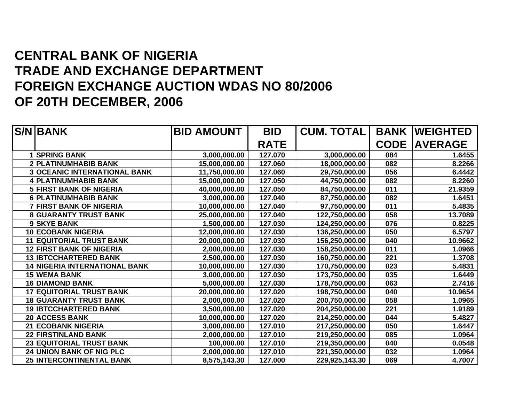## **CENTRAL BANK OF NIGERIA TRADE AND EXCHANGE DEPARTMENT FOREIGN EXCHANGE AUCTION WDAS NO 80/2006 OF 20TH DECEMBER, 2006**

|   | <b>S/N BANK</b>                      | <b>BID AMOUNT</b> | <b>BID</b>  | <b>CUM. TOTAL</b> |             | <b>BANK WEIGHTED</b> |
|---|--------------------------------------|-------------------|-------------|-------------------|-------------|----------------------|
|   |                                      |                   | <b>RATE</b> |                   | <b>CODE</b> | <b>IAVERAGE</b>      |
|   | <b>1 SPRING BANK</b>                 | 3,000,000.00      | 127.070     | 3,000,000.00      | 084         | 1.6455               |
|   | <b>2 PLATINUMHABIB BANK</b>          | 15,000,000.00     | 127.060     | 18,000,000.00     | 082         | 8.2266               |
|   | <b>3 OCEANIC INTERNATIONAL BANK</b>  | 11,750,000.00     | 127.060     | 29,750,000.00     | 056         | 6.4442               |
|   | 4 PLATINUMHABIB BANK                 | 15,000,000.00     | 127.050     | 44,750,000.00     | 082         | 8.2260               |
|   | <b>5 FIRST BANK OF NIGERIA</b>       | 40,000,000.00     | 127.050     | 84,750,000.00     | 011         | 21.9359              |
|   | <b>6 PLATINUMHABIB BANK</b>          | 3,000,000.00      | 127.040     | 87,750,000.00     | 082         | 1.6451               |
|   | <b>7 FIRST BANK OF NIGERIA</b>       | 10,000,000.00     | 127.040     | 97,750,000.00     | 011         | 5.4835               |
| 8 | <b>GUARANTY TRUST BANK</b>           | 25,000,000.00     | 127.040     | 122,750,000.00    | 058         | 13.7089              |
|   | 9 SKYE BANK                          | 1,500,000.00      | 127.030     | 124,250,000.00    | 076         | 0.8225               |
|   | <b>10 ECOBANK NIGERIA</b>            | 12,000,000.00     | 127.030     | 136,250,000.00    | 050         | 6.5797               |
|   | <b>11 EQUITORIAL TRUST BANK</b>      | 20,000,000.00     | 127.030     | 156,250,000.00    | 040         | 10.9662              |
|   | <b>12 FIRST BANK OF NIGERIA</b>      | 2,000,000.00      | 127.030     | 158,250,000.00    | 011         | 1.0966               |
|   | <b>13 IBTCCHARTERED BANK</b>         | 2,500,000.00      | 127.030     | 160,750,000.00    | 221         | 1.3708               |
|   | <b>14 NIGERIA INTERNATIONAL BANK</b> | 10,000,000.00     | 127.030     | 170,750,000.00    | 023         | 5.4831               |
|   | <b>15 WEMA BANK</b>                  | 3,000,000.00      | 127.030     | 173,750,000.00    | 035         | 1.6449               |
|   | <b>16 DIAMOND BANK</b>               | 5,000,000.00      | 127.030     | 178,750,000.00    | 063         | 2.7416               |
|   | <b>17 EQUITORIAL TRUST BANK</b>      | 20,000,000.00     | 127.020     | 198,750,000.00    | 040         | 10.9654              |
|   | <b>18 GUARANTY TRUST BANK</b>        | 2,000,000.00      | 127.020     | 200,750,000.00    | 058         | 1.0965               |
|   | <b>19 IBTCCHARTERED BANK</b>         | 3,500,000.00      | 127.020     | 204,250,000.00    | 221         | 1.9189               |
|   | <b>20 ACCESS BANK</b>                | 10,000,000.00     | 127.020     | 214,250,000.00    | 044         | 5.4827               |
|   | <b>21 ECOBANK NIGERIA</b>            | 3,000,000.00      | 127.010     | 217,250,000.00    | 050         | 1.6447               |
|   | <b>22 FIRSTINLAND BANK</b>           | 2,000,000.00      | 127.010     | 219,250,000.00    | 085         | 1.0964               |
|   | <b>23 EQUITORIAL TRUST BANK</b>      | 100,000.00        | 127.010     | 219,350,000.00    | 040         | 0.0548               |
|   | <b>24 UNION BANK OF NIG PLC</b>      | 2,000,000.00      | 127.010     | 221,350,000.00    | 032         | 1.0964               |
|   | 25 INTERCONTINENTAL BANK             | 8,575,143.30      | 127.000     | 229,925,143.30    | 069         | 4.7007               |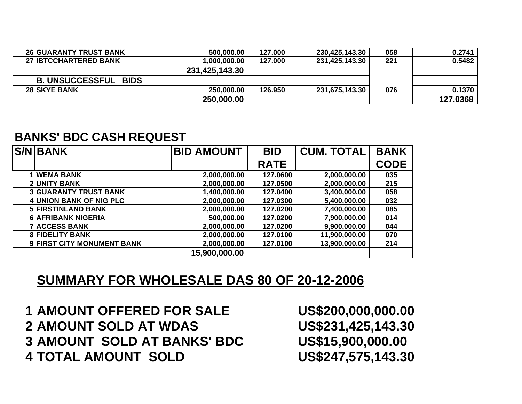| <b>26 GUARANTY TRUST BANK</b> | 500,000.00     | 127.000 | 230,425,143.30 | 058 | 0.2741   |
|-------------------------------|----------------|---------|----------------|-----|----------|
| <b>27 IBTCCHARTERED BANK</b>  | 1,000,000.00   | 127.000 | 231,425,143.30 | 221 | 0.5482   |
|                               | 231,425,143.30 |         |                |     |          |
| <b>B. UNSUCCESSFUL BIDS</b>   |                |         |                |     |          |
| <b>28 SKYE BANK</b>           | 250,000.00     | 126.950 | 231,675,143.30 | 076 | 0.1370   |
|                               | 250,000,00     |         |                |     | 127.0368 |

## **BANKS' BDC CASH REQUEST**

| <b>S/N BANK</b>              | <b>BID AMOUNT</b> | <b>BID</b>  | <b>CUM. TOTAL</b> | <b>BANK</b> |
|------------------------------|-------------------|-------------|-------------------|-------------|
|                              |                   | <b>RATE</b> |                   | <b>CODE</b> |
| <b>1 WEMA BANK</b>           | 2,000,000.00      | 127.0600    | 2,000,000.00      | 035         |
| <b>2 UNITY BANK</b>          | 2,000,000.00      | 127.0500    | 2,000,000.00      | 215         |
| <b>3 GUARANTY TRUST BANK</b> | 1,400,000.00      | 127.0400    | 3,400,000.00      | 058         |
| 4 UNION BANK OF NIG PLC      | 2,000,000.00      | 127.0300    | 5,400,000.00      | 032         |
| <b>5 FIRSTINLAND BANK</b>    | 2,000,000.00      | 127.0200    | 7,400,000.00      | 085         |
| <b>6 AFRIBANK NIGERIA</b>    | 500,000.00        | 127.0200    | 7,900,000.00      | 014         |
| <b>7 ACCESS BANK</b>         | 2,000,000.00      | 127.0200    | 9,900,000.00      | 044         |
| <b>8 FIDELITY BANK</b>       | 2,000,000.00      | 127.0100    | 11,900,000.00     | 070         |
| 9 FIRST CITY MONUMENT BANK   | 2,000,000.00      | 127.0100    | 13,900,000.00     | 214         |
|                              | 15,900,000.00     |             |                   |             |

## **SUMMARY FOR WHOLESALE DAS 80 OF 20-12-2006**

 **AMOUNT OFFERED FOR SALE US\$200,000,000.00 AMOUNT SOLD AT WDAS US\$231,425,143.30 AMOUNT SOLD AT BANKS' BDC US\$15,900,000.00 TOTAL AMOUNT SOLD US\$247,575,143.30**